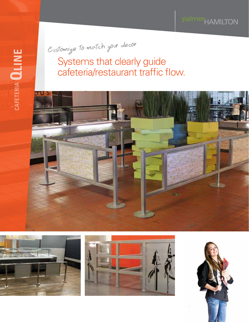palmer<sub>HAMILTON</sub>

Customize to match your decor

Systems that clearly guide cafeteria/restaurant traffic flow.